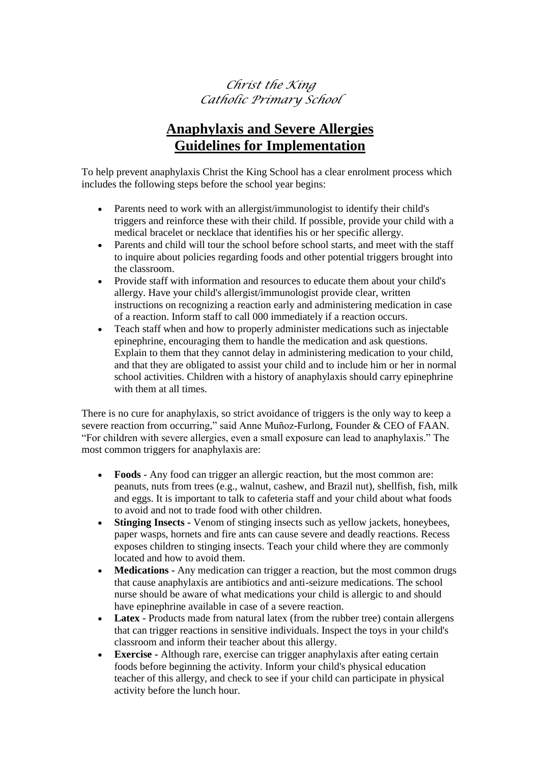## *Christ the King Catholic Primary School*

## **Anaphylaxis and Severe Allergies Guidelines for Implementation**

To help prevent anaphylaxis Christ the King School has a clear enrolment process which includes the following steps before the school year begins:

- Parents need to work with an allergist/immunologist to identify their child's triggers and reinforce these with their child. If possible, provide your child with a medical bracelet or necklace that identifies his or her specific allergy.
- Parents and child will tour the school before school starts, and meet with the staff to inquire about policies regarding foods and other potential triggers brought into the classroom.
- Provide staff with information and resources to educate them about your child's allergy. Have your child's allergist/immunologist provide clear, written instructions on recognizing a reaction early and administering medication in case of a reaction. Inform staff to call 000 immediately if a reaction occurs.
- Teach staff when and how to properly administer medications such as injectable epinephrine, encouraging them to handle the medication and ask questions. Explain to them that they cannot delay in administering medication to your child, and that they are obligated to assist your child and to include him or her in normal school activities. Children with a history of anaphylaxis should carry epinephrine with them at all times.

There is no cure for anaphylaxis, so strict avoidance of triggers is the only way to keep a severe reaction from occurring," said Anne Muñoz-Furlong, Founder & CEO of FAAN. "For children with severe allergies, even a small exposure can lead to anaphylaxis." The most common triggers for anaphylaxis are:

- **Foods**  Any food can trigger an allergic reaction, but the most common are: peanuts, nuts from trees (e.g., walnut, cashew, and Brazil nut), shellfish, fish, milk and eggs. It is important to talk to cafeteria staff and your child about what foods to avoid and not to trade food with other children.
- **Stinging Insects -** Venom of stinging insects such as yellow jackets, honeybees, paper wasps, hornets and fire ants can cause severe and deadly reactions. Recess exposes children to stinging insects. Teach your child where they are commonly located and how to avoid them.
- **Medications -** Any medication can trigger a reaction, but the most common drugs that cause anaphylaxis are antibiotics and anti-seizure medications. The school nurse should be aware of what medications your child is allergic to and should have epinephrine available in case of a severe reaction.
- **Latex**  Products made from natural latex (from the rubber tree) contain allergens that can trigger reactions in sensitive individuals. Inspect the toys in your child's classroom and inform their teacher about this allergy.
- **Exercise -** Although rare, exercise can trigger anaphylaxis after eating certain foods before beginning the activity. Inform your child's physical education teacher of this allergy, and check to see if your child can participate in physical activity before the lunch hour.